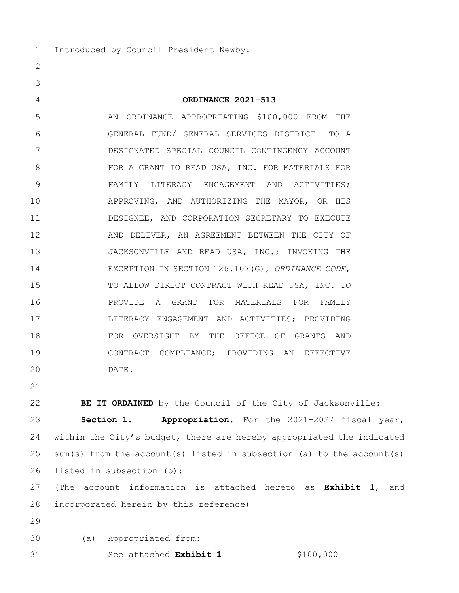1 Introduced by Council President Newby:

## **ORDINANCE 2021-513**

5 AN ORDINANCE APPROPRIATING \$100,000 FROM THE GENERAL FUND/ GENERAL SERVICES DISTRICT TO A DESIGNATED SPECIAL COUNCIL CONTINGENCY ACCOUNT FOR A GRANT TO READ USA, INC. FOR MATERIALS FOR 9 FAMILY LITERACY ENGAGEMENT AND ACTIVITIES; 10 APPROVING, AND AUTHORIZING THE MAYOR, OR HIS 11 DESIGNEE, AND CORPORATION SECRETARY TO EXECUTE 12 AND DELIVER, AN AGREEMENT BETWEEN THE CITY OF 13 JACKSONVILLE AND READ USA, INC.; INVOKING THE EXCEPTION IN SECTION 126.107(G), *ORDINANCE CODE*, 15 TO ALLOW DIRECT CONTRACT WITH READ USA, INC. TO PROVIDE A GRANT FOR MATERIALS FOR FAMILY LITERACY ENGAGEMENT AND ACTIVITIES; PROVIDING FOR OVERSIGHT BY THE OFFICE OF GRANTS AND CONTRACT COMPLIANCE; PROVIDING AN EFFECTIVE DATE.

**BE IT ORDAINED** by the Council of the City of Jacksonville: **Section 1. Appropriation.** For the 2021-2022 fiscal year, within the City's budget, there are hereby appropriated the indicated sum(s) from the account(s) listed in subsection (a) to the account(s) 26 listed in subsection (b):

 (The account information is attached hereto as **Exhibit 1**, and incorporated herein by this reference)

- (a) Appropriated from:
- 31 | See attached **Exhibit 1** \$100,000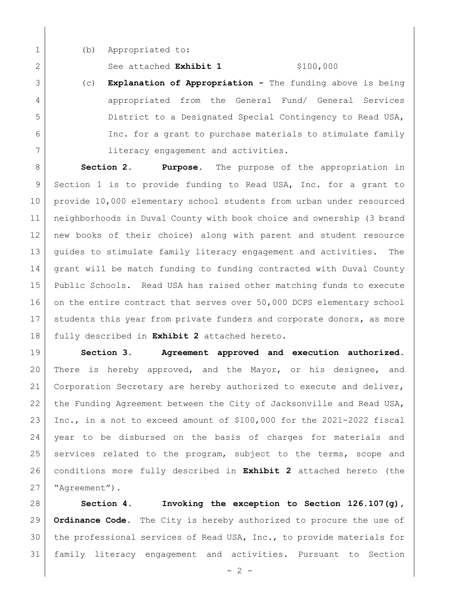1 (b) Appropriated to:

2 See attached **Exhibit 1** \$100,000

3 (c) **Explanation of Appropriation -** The funding above is being 4 appropriated from the General Fund/ General Services 5 District to a Designated Special Contingency to Read USA, 6 Inc. for a grant to purchase materials to stimulate family 7 **literacy engagement and activities.** 

 **Section 2. Purpose.** The purpose of the appropriation in Section 1 is to provide funding to Read USA, Inc. for a grant to provide 10,000 elementary school students from urban under resourced neighborhoods in Duval County with book choice and ownership (3 brand new books of their choice) along with parent and student resource 13 | guides to stimulate family literacy engagement and activities. The 14 grant will be match funding to funding contracted with Duval County Public Schools. Read USA has raised other matching funds to execute 16 on the entire contract that serves over 50,000 DCPS elementary school 17 | students this year from private funders and corporate donors, as more fully described in **Exhibit 2** attached hereto.

19 **Section 3. Agreement approved and execution authorized.** 20 There is hereby approved, and the Mayor, or his designee, and 21 | Corporation Secretary are hereby authorized to execute and deliver, 22 the Funding Agreement between the City of Jacksonville and Read USA, 23 Inc., in a not to exceed amount of  $$100,000$  for the 2021-2022 fiscal 24 year to be disbursed on the basis of charges for materials and 25 services related to the program, subject to the terms, scope and 26 conditions more fully described in **Exhibit 2** attached hereto (the 27 "Agreement").

 **Section 4. Invoking the exception to Section 126.107(g), Ordinance Code.** The City is hereby authorized to procure the use of the professional services of Read USA, Inc., to provide materials for family literacy engagement and activities. Pursuant to Section

 $- 2 -$